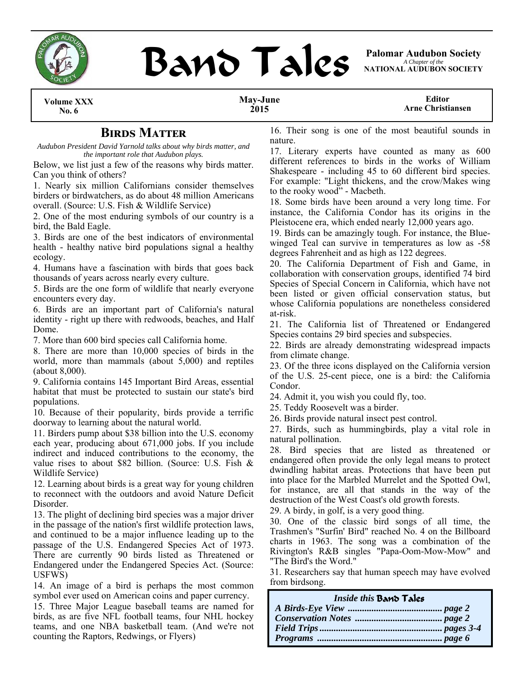



*A Chapter of the*  **NATIONAL AUDUBON SOCIETY** 

**Volume XXX No. 6** 

#### **May-June 2015**

**Editor Arne Christiansen** 

## **BIRDS MATTER**

*Audubon President David Yarnold talks about why birds matter, and the important role that Audubon plays.* 

Below, we list just a few of the reasons why birds matter. Can you think of others?

1. Nearly six million Californians consider themselves birders or birdwatchers, as do about 48 million Americans overall. (Source: U.S. Fish & Wildlife Service)

2. One of the most enduring symbols of our country is a bird, the Bald Eagle.

3. Birds are one of the best indicators of environmental health - healthy native bird populations signal a healthy ecology.

4. Humans have a fascination with birds that goes back thousands of years across nearly every culture.

5. Birds are the one form of wildlife that nearly everyone encounters every day.

6. Birds are an important part of California's natural identity - right up there with redwoods, beaches, and Half Dome.

7. More than 600 bird species call California home.

8. There are more than 10,000 species of birds in the world, more than mammals (about 5,000) and reptiles (about 8,000).

9. California contains 145 Important Bird Areas, essential habitat that must be protected to sustain our state's bird populations.

10. Because of their popularity, birds provide a terrific doorway to learning about the natural world.

11. Birders pump about \$38 billion into the U.S. economy each year, producing about 671,000 jobs. If you include indirect and induced contributions to the economy, the value rises to about \$82 billion. (Source: U.S. Fish & Wildlife Service)

12. Learning about birds is a great way for young children to reconnect with the outdoors and avoid Nature Deficit Disorder.

13. The plight of declining bird species was a major driver in the passage of the nation's first wildlife protection laws, and continued to be a major influence leading up to the passage of the U.S. Endangered Species Act of 1973. There are currently 90 birds listed as Threatened or Endangered under the Endangered Species Act. (Source: USFWS)

14. An image of a bird is perhaps the most common symbol ever used on American coins and paper currency.

15. Three Major League baseball teams are named for birds, as are five NFL football teams, four NHL hockey teams, and one NBA basketball team. (And we're not counting the Raptors, Redwings, or Flyers)

16. Their song is one of the most beautiful sounds in nature.

17. Literary experts have counted as many as 600 different references to birds in the works of William Shakespeare - including 45 to 60 different bird species. For example: "Light thickens, and the crow/Makes wing to the rooky wood" - Macbeth.

18. Some birds have been around a very long time. For instance, the California Condor has its origins in the Pleistocene era, which ended nearly 12,000 years ago.

19. Birds can be amazingly tough. For instance, the Bluewinged Teal can survive in temperatures as low as -58 degrees Fahrenheit and as high as 122 degrees.

20. The California Department of Fish and Game, in collaboration with conservation groups, identified 74 bird Species of Special Concern in California, which have not been listed or given official conservation status, but whose California populations are nonetheless considered at-risk.

21. The California list of Threatened or Endangered Species contains 29 bird species and subspecies.

22. Birds are already demonstrating widespread impacts from climate change.

23. Of the three icons displayed on the California version of the U.S. 25-cent piece, one is a bird: the California Condor.

24. Admit it, you wish you could fly, too.

25. Teddy Roosevelt was a birder.

26. Birds provide natural insect pest control.

27. Birds, such as hummingbirds, play a vital role in natural pollination.

28. Bird species that are listed as threatened or endangered often provide the only legal means to protect dwindling habitat areas. Protections that have been put into place for the Marbled Murrelet and the Spotted Owl, for instance, are all that stands in the way of the destruction of the West Coast's old growth forests.

29. A birdy, in golf, is a very good thing.

30. One of the classic bird songs of all time, the Trashmen's "Surfin' Bird" reached No. 4 on the Billboard charts in 1963. The song was a combination of the Rivington's R&B singles "Papa-Oom-Mow-Mow" and "The Bird's the Word."

31. Researchers say that human speech may have evolved from birdsong.

| Inside this Band Tales |  |
|------------------------|--|
|                        |  |
|                        |  |
|                        |  |
|                        |  |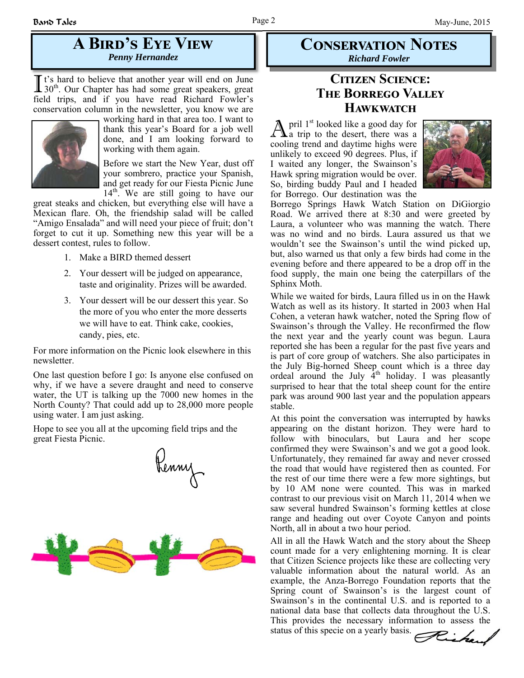# **A BIRD'S EYE VIEW** *Penny Hernandez*

I t's hard to believe that another year will end on June 30<sup>th</sup>. Our Chapter has had some great speakers, great field trips, and if you have read Richard Fowler's conservation column in the newsletter, you know we are



working hard in that area too. I want to thank this year's Board for a job well done, and I am looking forward to working with them again.

Before we start the New Year, dust off your sombrero, practice your Spanish, and get ready for our Fiesta Picnic June  $14<sup>th</sup>$ . We are still going to have our

great steaks and chicken, but everything else will have a Mexican flare. Oh, the friendship salad will be called "Amigo Ensalada" and will need your piece of fruit; don't forget to cut it up. Something new this year will be a dessert contest, rules to follow.

- 1. Make a BIRD themed dessert
- 2. Your dessert will be judged on appearance, taste and originality. Prizes will be awarded.
- 3. Your dessert will be our dessert this year. So the more of you who enter the more desserts we will have to eat. Think cake, cookies, candy, pies, etc.

For more information on the Picnic look elsewhere in this newsletter.

One last question before I go: Is anyone else confused on why, if we have a severe draught and need to conserve water, the UT is talking up the 7000 new homes in the North County? That could add up to 28,000 more people using water. I am just asking.

Hope to see you all at the upcoming field trips and the great Fiesta Picnic.



## **CONSERVATION NOTES** *Richard Fowler*

## **CITIZEN SCIENCE: THE BORREGO VALLEY HAWKWATCH**

 $\mathbb{A}$  pril 1<sup>st</sup> looked like a good day for a trip to the desert, there was a cooling trend and daytime highs were unlikely to exceed 90 degrees. Plus, if I waited any longer, the Swainson's Hawk spring migration would be over. So, birding buddy Paul and I headed for Borrego. Our destination was the



Borrego Springs Hawk Watch Station on DiGiorgio Road. We arrived there at 8:30 and were greeted by Laura, a volunteer who was manning the watch. There was no wind and no birds. Laura assured us that we wouldn't see the Swainson's until the wind picked up, but, also warned us that only a few birds had come in the evening before and there appeared to be a drop off in the food supply, the main one being the caterpillars of the Sphinx Moth.

While we waited for birds, Laura filled us in on the Hawk Watch as well as its history. It started in 2003 when Hal Cohen, a veteran hawk watcher, noted the Spring flow of Swainson's through the Valley. He reconfirmed the flow the next year and the yearly count was begun. Laura reported she has been a regular for the past five years and is part of core group of watchers. She also participates in the July Big-horned Sheep count which is a three day ordeal around the July  $4<sup>th</sup>$  holiday. I was pleasantly surprised to hear that the total sheep count for the entire park was around 900 last year and the population appears stable.

At this point the conversation was interrupted by hawks appearing on the distant horizon. They were hard to follow with binoculars, but Laura and her scope confirmed they were Swainson's and we got a good look. Unfortunately, they remained far away and never crossed the road that would have registered then as counted. For the rest of our time there were a few more sightings, but by 10 AM none were counted. This was in marked contrast to our previous visit on March 11, 2014 when we saw several hundred Swainson's forming kettles at close range and heading out over Coyote Canyon and points North, all in about a two hour period.

All in all the Hawk Watch and the story about the Sheep count made for a very enlightening morning. It is clear that Citizen Science projects like these are collecting very valuable information about the natural world. As an example, the Anza-Borrego Foundation reports that the Spring count of Swainson's is the largest count of Swainson's in the continental U.S. and is reported to a national data base that collects data throughout the U.S. This provides the necessary information to assess the status of this specie on a yearly basis.



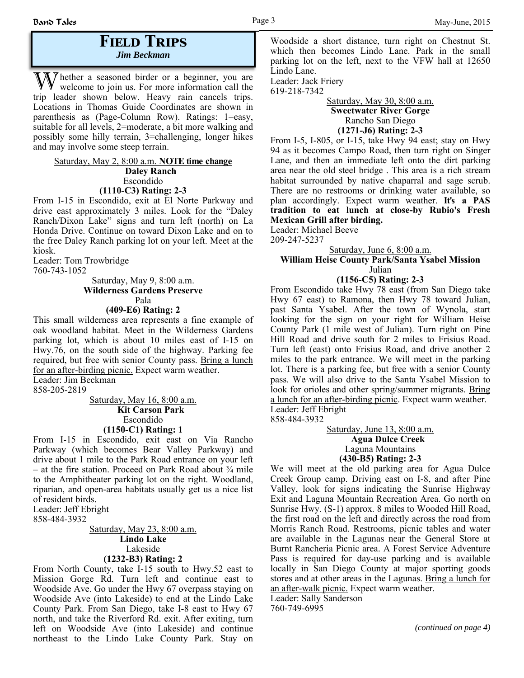### **FIELD TRIPS** *Jim Beckman*

W hether a seasoned birder or a beginner, you are welcome to join us. For more information call the trip leader shown below. Heavy rain cancels trips. Locations in Thomas Guide Coordinates are shown in parenthesis as (Page-Column Row). Ratings: 1=easy, suitable for all levels, 2=moderate, a bit more walking and possibly some hilly terrain, 3=challenging, longer hikes and may involve some steep terrain.

#### Saturday, May 2, 8:00 a.m. **NOTE time change Daley Ranch** Escondido **(1110-C3) Rating: 2-3**

From I-15 in Escondido, exit at El Norte Parkway and drive east approximately 3 miles. Look for the "Daley Ranch/Dixon Lake" signs and turn left (north) on La Honda Drive. Continue on toward Dixon Lake and on to the free Daley Ranch parking lot on your left. Meet at the kiosk.

Leader: Tom Trowbridge 760-743-1052

> Saturday, May 9, 8:00 a.m. **Wilderness Gardens Preserve** Pala

**(409-E6) Rating: 2**

This small wilderness area represents a fine example of oak woodland habitat. Meet in the Wilderness Gardens parking lot, which is about 10 miles east of I-15 on Hwy.76, on the south side of the highway. Parking fee required, but free with senior County pass. Bring a lunch for an after-birding picnic. Expect warm weather. Leader: Jim Beckman

858-205-2819

Saturday, May 16, 8:00 a.m.  **Kit Carson Park** Escondido **(1150-C1) Rating: 1**

From I-15 in Escondido, exit east on Via Rancho Parkway (which becomes Bear Valley Parkway) and drive about 1 mile to the Park Road entrance on your left – at the fire station. Proceed on Park Road about ¾ mile to the Amphitheater parking lot on the right. Woodland, riparian, and open-area habitats usually get us a nice list of resident birds.

Leader: Jeff Ebright

858-484-3932

Saturday, May 23, 8:00 a.m. **Lindo Lake** Lakeside **(1232-B3) Rating: 2**

From North County, take I-15 south to Hwy.52 east to Mission Gorge Rd. Turn left and continue east to Woodside Ave. Go under the Hwy 67 overpass staying on Woodside Ave (into Lakeside) to end at the Lindo Lake County Park. From San Diego, take I-8 east to Hwy 67 north, and take the Riverford Rd. exit. After exiting, turn left on Woodside Ave (into Lakeside) and continue northeast to the Lindo Lake County Park. Stay on Woodside a short distance, turn right on Chestnut St. which then becomes Lindo Lane. Park in the small parking lot on the left, next to the VFW hall at 12650 Lindo Lane.

Leader: Jack Friery 619-218-7342

#### Saturday, May 30, 8:00 a.m. **Sweetwater River Gorge** Rancho San Diego **(1271-J6) Rating: 2-3**

From I-5, I-805, or I-15, take Hwy 94 east; stay on Hwy 94 as it becomes Campo Road, then turn right on Singer Lane, and then an immediate left onto the dirt parking area near the old steel bridge . This area is a rich stream habitat surrounded by native chaparral and sage scrub. There are no restrooms or drinking water available, so plan accordingly. Expect warm weather. **It's a PAS tradition to eat lunch at close-by Rubio's Fresh Mexican Grill after birding.**

Leader: Michael Beeve

209-247-5237

#### Saturday, June 6, 8:00 a.m. **William Heise County Park/Santa Ysabel Mission** Julian

**(1156-C5) Rating: 2-3**

From Escondido take Hwy 78 east (from San Diego take Hwy 67 east) to Ramona, then Hwy 78 toward Julian, past Santa Ysabel. After the town of Wynola, start looking for the sign on your right for William Heise County Park (1 mile west of Julian). Turn right on Pine Hill Road and drive south for 2 miles to Frisius Road. Turn left (east) onto Frisius Road, and drive another 2 miles to the park entrance. We will meet in the parking lot. There is a parking fee, but free with a senior County pass. We will also drive to the Santa Ysabel Mission to look for orioles and other spring/summer migrants. Bring a lunch for an after-birding picnic. Expect warm weather. Leader: Jeff Ebright

858-484-3932

Saturday, June 13, 8:00 a.m.  **Agua Dulce Creek** Laguna Mountains **(430-B5) Rating: 2-3**

We will meet at the old parking area for Agua Dulce Creek Group camp. Driving east on I-8, and after Pine Valley, look for signs indicating the Sunrise Highway Exit and Laguna Mountain Recreation Area. Go north on Sunrise Hwy. (S-1) approx. 8 miles to Wooded Hill Road, the first road on the left and directly across the road from Morris Ranch Road. Restrooms, picnic tables and water are available in the Lagunas near the General Store at Burnt Rancheria Picnic area. A Forest Service Adventure Pass is required for day-use parking and is available locally in San Diego County at major sporting goods stores and at other areas in the Lagunas. Bring a lunch for an after-walk picnic. Expect warm weather.

Leader: Sally Sanderson 760-749-6995

*(continued on page 4)*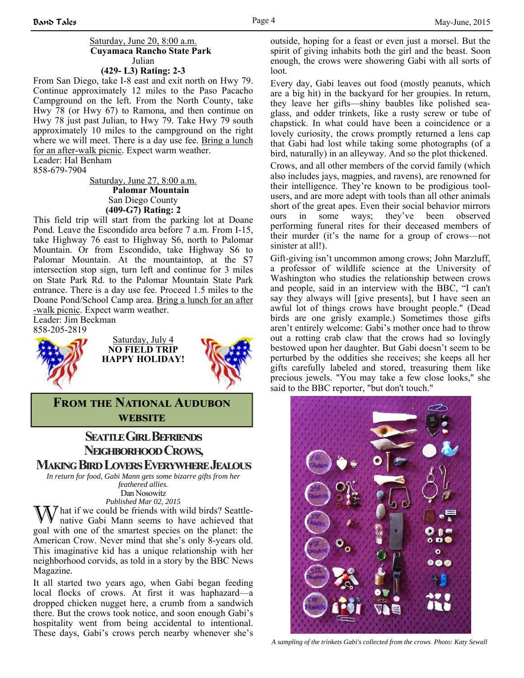### **(429- L3) Rating: 2-3**

From San Diego, take I-8 east and exit north on Hwy 79. Continue approximately 12 miles to the Paso Pacacho Campground on the left. From the North County, take Hwy 78 (or Hwy 67) to Ramona, and then continue on Hwy 78 just past Julian, to Hwy 79. Take Hwy 79 south approximately 10 miles to the campground on the right where we will meet. There is a day use fee. Bring a lunch for an after-walk picnic. Expect warm weather.

Leader: Hal Benham 858-679-7904

> Saturday, June 27, 8:00 a.m.  **Palomar Mountain** San Diego County **(409-G7) Rating: 2**

This field trip will start from the parking lot at Doane Pond. Leave the Escondido area before 7 a.m. From I-15, take Highway 76 east to Highway S6, north to Palomar Mountain. Or from Escondido, take Highway S6 to Palomar Mountain. At the mountaintop, at the S7 intersection stop sign, turn left and continue for 3 miles on State Park Rd. to the Palomar Mountain State Park entrance. There is a day use fee. Proceed 1.5 miles to the Doane Pond/School Camp area. Bring a lunch for an after -walk picnic. Expect warm weather.

Leader: Jim Beckman 858-205-2819



Saturday, July 4 **NO FIELD TRIP HAPPY HOLIDAY!**



**FROM THE NATIONAL AUDUBON WEBSITE** 

# **SEATTLE GIRL BEFRIENDS NEIGHBORHOOD CROWS,**

**Making Bird Lovers Everywhere Jealous** 

*In return for food, Gabi Mann gets some bizarre gifts from her feathered allies.*

Dan Nosowitz *Published Mar 02, 2015*

 $\gamma$  hat if we could be friends with wild birds? Seattlenative Gabi Mann seems to have achieved that goal with one of the smartest species on the planet: the American Crow. Never mind that she's only 8-years old. This imaginative kid has a unique relationship with her neighborhood corvids, as told in a story by the BBC News Magazine.

It all started two years ago, when Gabi began feeding local flocks of crows. At first it was haphazard—a dropped chicken nugget here, a crumb from a sandwich there. But the crows took notice, and soon enough Gabi's hospitality went from being accidental to intentional. These days, Gabi's crows perch nearby whenever she's

outside, hoping for a feast or even just a morsel. But the spirit of giving inhabits both the girl and the beast. Soon enough, the crows were showering Gabi with all sorts of loot.

Every day, Gabi leaves out food (mostly peanuts, which are a big hit) in the backyard for her groupies. In return, they leave her gifts—shiny baubles like polished seaglass, and odder trinkets, like a rusty screw or tube of chapstick. In what could have been a coincidence or a lovely curiosity, the crows promptly returned a lens cap that Gabi had lost while taking some photographs (of a bird, naturally) in an alleyway. And so the plot thickened. Crows, and all other members of the corvid family (which also includes jays, magpies, and ravens), are renowned for their intelligence. They're known to be prodigious toolusers, and are more adept with tools than all other animals short of the great apes. Even their social behavior mirrors ours in some ways; they've been observed performing funeral rites for their deceased members of their murder (it's the name for a group of crows—not sinister at all!).

Gift-giving isn't uncommon among crows; John Marzluff, a professor of wildlife science at the University of Washington who studies the relationship between crows and people, said in an interview with the BBC, "I can't say they always will [give presents], but I have seen an awful lot of things crows have brought people." (Dead birds are one grisly example.) Sometimes those gifts aren't entirely welcome: Gabi's mother once had to throw out a rotting crab claw that the crows had so lovingly bestowed upon her daughter. But Gabi doesn't seem to be perturbed by the oddities she receives; she keeps all her gifts carefully labeled and stored, treasuring them like precious jewels. "You may take a few close looks," she said to the BBC reporter, "but don't touch."



*A sampling of the trinkets Gabi's collected from the crows. Photo: Katy Sewall*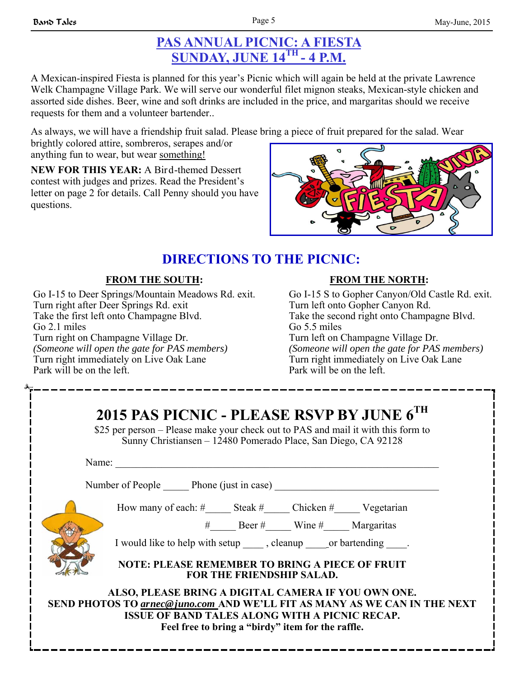## **PAS ANNUAL PICNIC: A FIESTA SUNDAY, JUNE 14TH - 4 P.M.**

A Mexican-inspired Fiesta is planned for this year's Picnic which will again be held at the private Lawrence Welk Champagne Village Park. We will serve our wonderful filet mignon steaks, Mexican-style chicken and assorted side dishes. Beer, wine and soft drinks are included in the price, and margaritas should we receive requests for them and a volunteer bartender..

As always, we will have a friendship fruit salad. Please bring a piece of fruit prepared for the salad. Wear

brightly colored attire, sombreros, serapes and/or anything fun to wear, but wear something!

**NEW FOR THIS YEAR:** A Bird-themed Dessert contest with judges and prizes. Read the President's letter on page 2 for details. Call Penny should you have questions.



# **DIRECTIONS TO THE PICNIC:**

## **FROM THE SOUTH:**

Go I-15 to Deer Springs/Mountain Meadows Rd. exit. Turn right after Deer Springs Rd. exit Take the first left onto Champagne Blvd. Go 2.1 miles Turn right on Champagne Village Dr. *(Someone will open the gate for PAS members)* Turn right immediately on Live Oak Lane Park will be on the left.

## **FROM THE NORTH:**

Go I-15 S to Gopher Canyon/Old Castle Rd. exit. Turn left onto Gopher Canyon Rd. Take the second right onto Champagne Blvd. Go 5.5 miles Turn left on Champagne Village Dr. *(Someone will open the gate for PAS members)*  Turn right immediately on Live Oak Lane Park will be on the left.

| 2015 PAS PICNIC - PLEASE RSVP BY JUNE 6TH<br>\$25 per person – Please make your check out to PAS and mail it with this form to<br>Sunny Christiansen – 12480 Pomerado Place, San Diego, CA 92128                                               |  |  |
|------------------------------------------------------------------------------------------------------------------------------------------------------------------------------------------------------------------------------------------------|--|--|
| Name:                                                                                                                                                                                                                                          |  |  |
| Number of People Phone (just in case)                                                                                                                                                                                                          |  |  |
| How many of each: #_______ Steak #________ Chicken #________ Vegetarian                                                                                                                                                                        |  |  |
| # Beer # Wine # Margaritas                                                                                                                                                                                                                     |  |  |
| I would like to help with setup ______, cleanup ______ or bartending _____.                                                                                                                                                                    |  |  |
| <b>NOTE: PLEASE REMEMBER TO BRING A PIECE OF FRUIT</b><br>FOR THE FRIENDSHIP SALAD.                                                                                                                                                            |  |  |
| ALSO, PLEASE BRING A DIGITAL CAMERA IF YOU OWN ONE.<br>SEND PHOTOS TO arnec@juno.com AND WE'LL FIT AS MANY AS WE CAN IN THE NEXT<br><b>ISSUE OF BAND TALES ALONG WITH A PICNIC RECAP.</b><br>Feel free to bring a "birdy" item for the raffle. |  |  |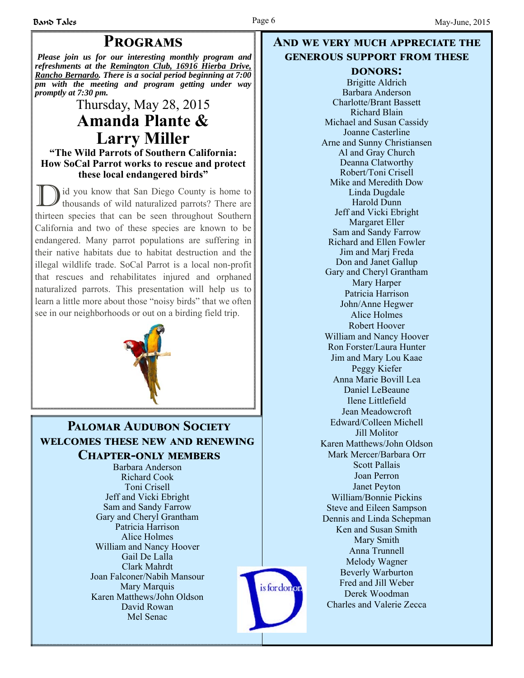# **PROGRAMS**

*Please join us for our interesting monthly program and refreshments at the Remington Club, 16916 Hierba Drive, Rancho Bernardo. There is a social period beginning at 7:00 pm with the meeting and program getting under way promptly at 7:30 pm.*

# Thursday, May 28, 2015 **Amanda Plante & Larry Miller**

### **"The Wild Parrots of Southern California: How SoCal Parrot works to rescue and protect these local endangered birds"**

D id you know that San Diego County is home to thousands of wild naturalized parrots? There are thirteen species that can be seen throughout Southern California and two of these species are known to be endangered. Many parrot populations are suffering in their native habitats due to habitat destruction and the illegal wildlife trade. SoCal Parrot is a local non-profit that rescues and rehabilitates injured and orphaned naturalized parrots. This presentation will help us to learn a little more about those "noisy birds" that we often see in our neighborhoods or out on a birding field trip.



## **PALOMAR AUDURON SOCIETY WELCOMES THESE NEW AND RENEWING CHAPTER-ONLY MEMBERS**

Barbara Anderson Richard Cook Toni Crisell Jeff and Vicki Ebright Sam and Sandy Farrow Gary and Cheryl Grantham Patricia Harrison Alice Holmes William and Nancy Hoover Gail De Lalla Clark Mahrdt Joan Falconer/Nabih Mansour Mary Marquis Karen Matthews/John Oldson David Rowan Mel Senac



## **AND WE VERY MUCH APPRECIATE THE GENEROUS SUPPORT FROM THESE**

### **DONORS:**

Brigitte Aldrich Barbara Anderson Charlotte/Brant Bassett Richard Blain Michael and Susan Cassidy Joanne Casterline Arne and Sunny Christiansen Al and Gray Church Deanna Clatworthy Robert/Toni Crisell Mike and Meredith Dow Linda Dugdale Harold Dunn Jeff and Vicki Ebright Margaret Eller Sam and Sandy Farrow Richard and Ellen Fowler Jim and Marj Freda Don and Janet Gallup Gary and Cheryl Grantham Mary Harper Patricia Harrison John/Anne Hegwer Alice Holmes Robert Hoover William and Nancy Hoover Ron Forster/Laura Hunter Jim and Mary Lou Kaae Peggy Kiefer Anna Marie Bovill Lea Daniel LeBeaune Ilene Littlefield Jean Meadowcroft Edward/Colleen Michell Jill Molitor Karen Matthews/John Oldson Mark Mercer/Barbara Orr Scott Pallais Joan Perron Janet Peyton William/Bonnie Pickins Steve and Eileen Sampson Dennis and Linda Schepman Ken and Susan Smith Mary Smith Anna Trunnell Melody Wagner Beverly Warburton Fred and Jill Weber Derek Woodman Charles and Valerie Zecca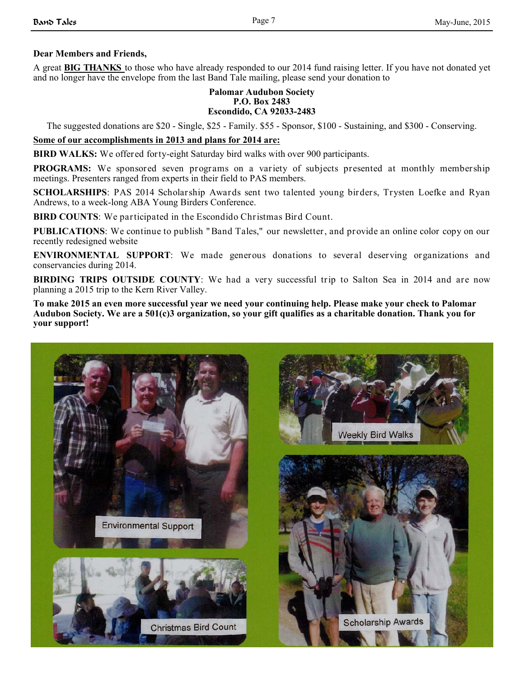### **Dear Members and Friends,**

A great **BIG THANKS** to those who have already responded to our 2014 fund raising letter. If you have not donated yet and no longer have the envelope from the last Band Tale mailing, please send your donation to

#### **Palomar Audubon Society P.O. Box 2483 Escondido, CA 92033-2483**

The suggested donations are \$20 - Single, \$25 - Family. \$55 - Sponsor, \$100 - Sustaining, and \$300 - Conserving.

#### **Some of our accomplishments in 2013 and plans for 2014 are:**

**BIRD WALKS:** We offered forty-eight Saturday bird walks with over 900 participants.

**PROGRAMS:** We sponsored seven programs on a variety of subjects presented at monthly membership meetings. Presenters ranged from experts in their field to PAS members.

**SCHOLARSHIPS**: PAS 2014 Scholarship Awards sent two talented young birders, Trysten Loefke and Ryan Andrews, to a week-long ABA Young Birders Conference.

**BIRD COUNTS**: We participated in the Escondido Christmas Bird Count.

**PUBLICATIONS**: We continue to publish " Band Tales," our newsletter, and provide an online color copy on our recently redesigned website

**ENVIRONMENTAL SUPPORT**: We made generous donations to several deserving organizations and conservancies during 2014.

**BIRDING TRIPS OUTSIDE COUNTY**: We had a very successful trip to Salton Sea in 2014 and are now planning a 2015 trip to the Kern River Valley.

**To make 2015 an even more successful year we need your continuing help. Please make your check to Palomar Audubon Society. We are a 501(c)3 organization, so your gift qualifies as a charitable donation. Thank you for your support!**